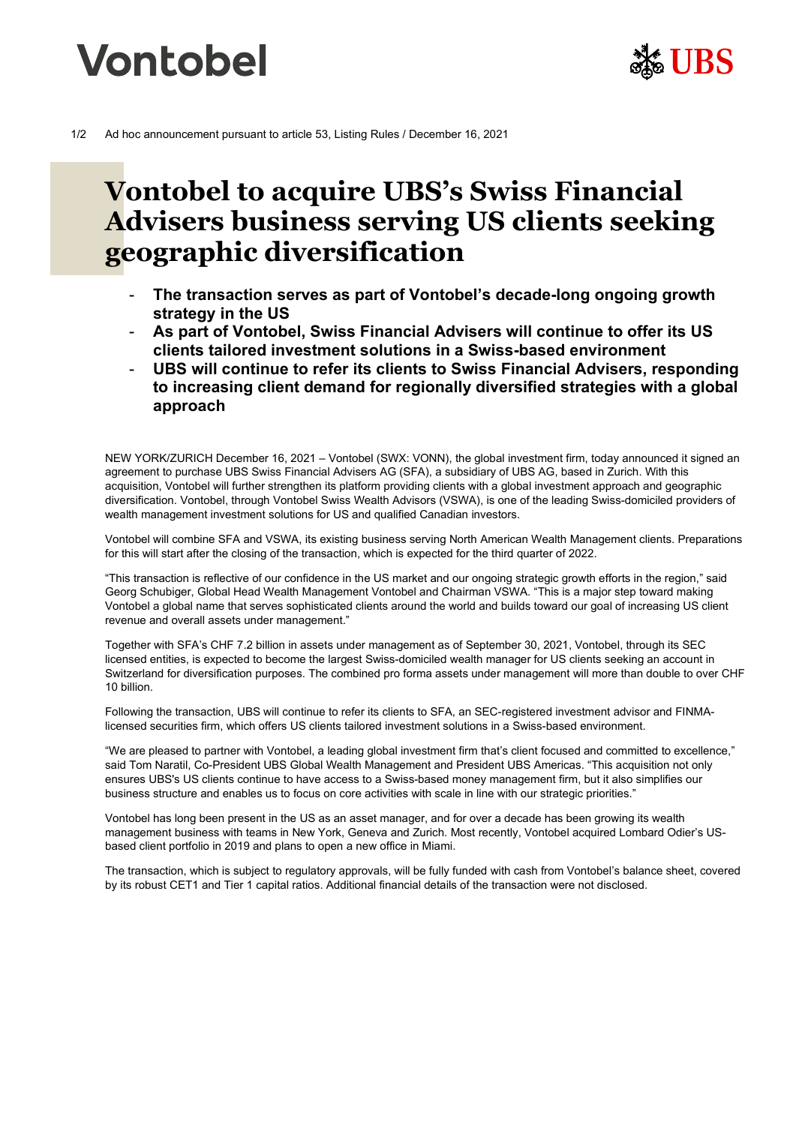



# **Vontobel to acquire UBS's Swiss Financial Advisers business serving US clients seeking geographic diversification**

- **The transaction serves as part of Vontobel's decade-long ongoing growth strategy in the US**
- **As part of Vontobel, Swiss Financial Advisers will continue to offer its US clients tailored investment solutions in a Swiss-based environment**
- **UBS will continue to refer its clients to Swiss Financial Advisers, responding to increasing client demand for regionally diversified strategies with a global approach**

NEW YORK/ZURICH December 16, 2021 – Vontobel (SWX: VONN), the global investment firm, today announced it signed an agreement to purchase UBS Swiss Financial Advisers AG (SFA), a subsidiary of UBS AG, based in Zurich. With this acquisition, Vontobel will further strengthen its platform providing clients with a global investment approach and geographic diversification. Vontobel, through Vontobel Swiss Wealth Advisors (VSWA), is one of the leading Swiss-domiciled providers of wealth management investment solutions for US and qualified Canadian investors.

Vontobel will combine SFA and VSWA, its existing business serving North American Wealth Management clients. Preparations for this will start after the closing of the transaction, which is expected for the third quarter of 2022.

"This transaction is reflective of our confidence in the US market and our ongoing strategic growth efforts in the region," said Georg Schubiger, Global Head Wealth Management Vontobel and Chairman VSWA. "This is a major step toward making Vontobel a global name that serves sophisticated clients around the world and builds toward our goal of increasing US client revenue and overall assets under management."

Together with SFA's CHF 7.2 billion in assets under management as of September 30, 2021, Vontobel, through its SEC licensed entities, is expected to become the largest Swiss-domiciled wealth manager for US clients seeking an account in Switzerland for diversification purposes. The combined pro forma assets under management will more than double to over CHF 10 billion.

Following the transaction, UBS will continue to refer its clients to SFA, an SEC-registered investment advisor and FINMAlicensed securities firm, which offers US clients tailored investment solutions in a Swiss-based environment.

"We are pleased to partner with Vontobel, a leading global investment firm that's client focused and committed to excellence," said Tom Naratil, Co-President UBS Global Wealth Management and President UBS Americas. "This acquisition not only ensures UBS's US clients continue to have access to a Swiss-based money management firm, but it also simplifies our business structure and enables us to focus on core activities with scale in line with our strategic priorities."

Vontobel has long been present in the US as an asset manager, and for over a decade has been growing its wealth management business with teams in New York, Geneva and Zurich. Most recently, Vontobel acquired Lombard Odier's USbased client portfolio in 2019 and plans to open a new office in Miami.

The transaction, which is subject to regulatory approvals, will be fully funded with cash from Vontobel's balance sheet, covered by its robust CET1 and Tier 1 capital ratios. Additional financial details of the transaction were not disclosed.